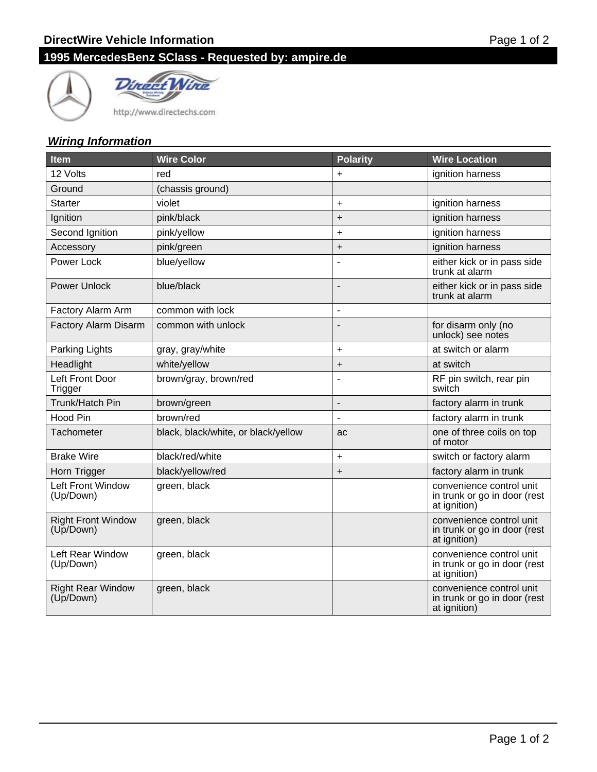# **1995 MercedesBenz SClass - Requested by: ampire.de**





http://www.directechs.com

### **Wiring Information**

| <b>Item</b>                            | <b>Wire Color</b>                   | <b>Polarity</b> | <b>Wire Location</b>                                                     |
|----------------------------------------|-------------------------------------|-----------------|--------------------------------------------------------------------------|
| 12 Volts                               | red                                 | $+$             | ignition harness                                                         |
| Ground                                 | (chassis ground)                    |                 |                                                                          |
| <b>Starter</b>                         | violet                              | $\ddot{}$       | ignition harness                                                         |
| Ignition                               | pink/black                          | $\ddot{}$       | ignition harness                                                         |
| Second Ignition                        | pink/yellow                         | $\ddot{}$       | ignition harness                                                         |
| Accessory                              | pink/green                          | $\ddot{}$       | ignition harness                                                         |
| Power Lock                             | blue/yellow                         |                 | either kick or in pass side<br>trunk at alarm                            |
| <b>Power Unlock</b>                    | blue/black                          |                 | either kick or in pass side<br>trunk at alarm                            |
| Factory Alarm Arm                      | common with lock                    | ÷,              |                                                                          |
| <b>Factory Alarm Disarm</b>            | common with unlock                  |                 | for disarm only (no<br>unlock) see notes                                 |
| Parking Lights                         | gray, gray/white                    | $\ddot{}$       | at switch or alarm                                                       |
| Headlight                              | white/yellow                        | $\ddot{}$       | at switch                                                                |
| Left Front Door<br>Trigger             | brown/gray, brown/red               |                 | RF pin switch, rear pin<br>switch                                        |
| Trunk/Hatch Pin                        | brown/green                         | $\blacksquare$  | factory alarm in trunk                                                   |
| <b>Hood Pin</b>                        | brown/red                           |                 | factory alarm in trunk                                                   |
| Tachometer                             | black, black/white, or black/yellow | ac              | one of three coils on top<br>of motor                                    |
| <b>Brake Wire</b>                      | black/red/white                     | $\ddot{}$       | switch or factory alarm                                                  |
| Horn Trigger                           | black/yellow/red                    | $\ddot{}$       | factory alarm in trunk                                                   |
| <b>Left Front Window</b><br>(Up/Down)  | green, black                        |                 | convenience control unit<br>in trunk or go in door (rest<br>at ignition) |
| <b>Right Front Window</b><br>(Up/Down) | green, black                        |                 | convenience control unit<br>in trunk or go in door (rest<br>at ignition) |
| Left Rear Window<br>(Up/Down)          | green, black                        |                 | convenience control unit<br>in trunk or go in door (rest<br>at ignition) |
| <b>Right Rear Window</b><br>(Up/Down)  | green, black                        |                 | convenience control unit<br>in trunk or go in door (rest<br>at ignition) |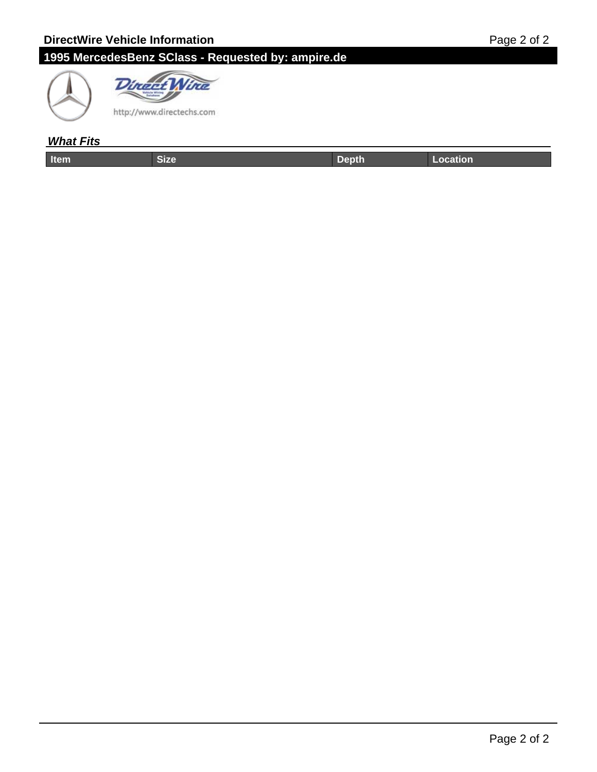# **1995 MercedesBenz SClass - Requested by: ampire.de**





### **What Fits**

| ----- | . | والمستنب المتأمل المتناسبات المستحدث |
|-------|---|--------------------------------------|
|       |   |                                      |